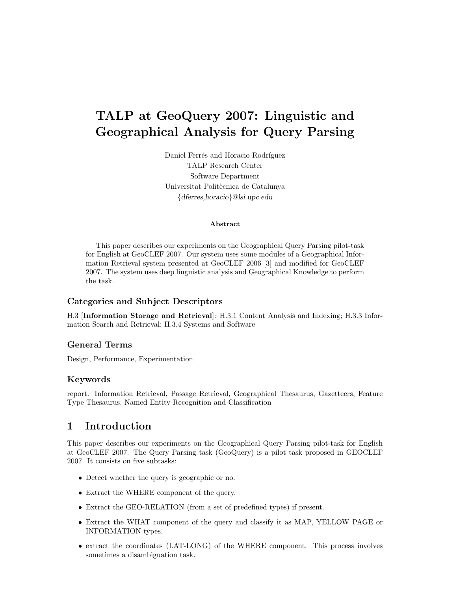# TALP at GeoQuery 2007: Linguistic and Geographical Analysis for Query Parsing

Daniel Ferrés and Horacio Rodríguez TALP Research Center Software Department Universitat Politècnica de Catalunya {dferres,horacio}@lsi.upc.edu

#### Abstract

This paper describes our experiments on the Geographical Query Parsing pilot-task for English at GeoCLEF 2007. Our system uses some modules of a Geographical Information Retrieval system presented at GeoCLEF 2006 [3] and modified for GeoCLEF 2007. The system uses deep linguistic analysis and Geographical Knowledge to perform the task.

#### Categories and Subject Descriptors

H.3 [Information Storage and Retrieval]: H.3.1 Content Analysis and Indexing; H.3.3 Information Search and Retrieval; H.3.4 Systems and Software

#### General Terms

Design, Performance, Experimentation

#### Keywords

report. Information Retrieval, Passage Retrieval, Geographical Thesaurus, Gazetteers, Feature Type Thesaurus, Named Entity Recognition and Classification

## 1 Introduction

This paper describes our experiments on the Geographical Query Parsing pilot-task for English at GeoCLEF 2007. The Query Parsing task (GeoQuery) is a pilot task proposed in GEOCLEF 2007. It consists on five subtasks:

- Detect whether the query is geographic or no.
- Extract the WHERE component of the query.
- Extract the GEO-RELATION (from a set of predefined types) if present.
- Extract the WHAT component of the query and classify it as MAP, YELLOW PAGE or INFORMATION types.
- extract the coordinates (LAT-LONG) of the WHERE component. This process involves sometimes a disambiguation task.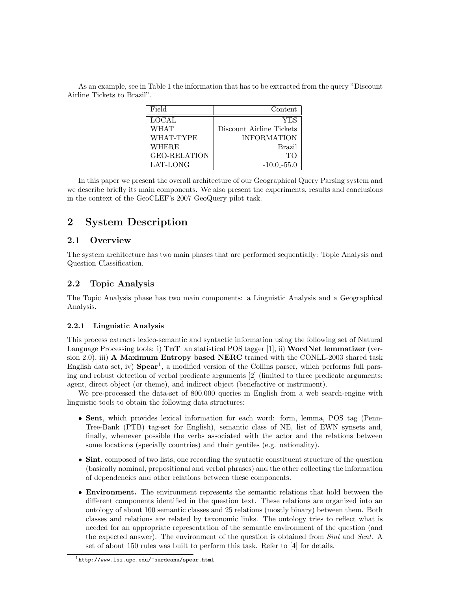As an example, see in Table 1 the information that has to be extracted from the query "Discount Airline Tickets to Brazil".

| Field               | Content                  |
|---------------------|--------------------------|
| <b>LOCAL</b>        | YES                      |
| <b>WHAT</b>         | Discount Airline Tickets |
| WHAT-TYPE           | <b>INFORMATION</b>       |
| WHERE               | <b>Brazil</b>            |
| <b>GEO-RELATION</b> | TО                       |
| LAT-LONG            | $-10.0 - 55.0$           |

In this paper we present the overall architecture of our Geographical Query Parsing system and we describe briefly its main components. We also present the experiments, results and conclusions in the context of the GeoCLEF's 2007 GeoQuery pilot task.

## 2 System Description

#### 2.1 Overview

The system architecture has two main phases that are performed sequentially: Topic Analysis and Question Classification.

#### 2.2 Topic Analysis

The Topic Analysis phase has two main components: a Linguistic Analysis and a Geographical Analysis.

#### 2.2.1 Linguistic Analysis

This process extracts lexico-semantic and syntactic information using the following set of Natural Language Processing tools: i)  $\text{Tr } \mathbf{T}$  an statistical POS tagger [1], ii) WordNet lemmatizer (version  $(2.0)$ , iii) A Maximum Entropy based NERC trained with the CONLL-2003 shared task English data set, iv)  $Spear<sup>1</sup>$ , a modified version of the Collins parser, which performs full parsing and robust detection of verbal predicate arguments [2] (limited to three predicate arguments: agent, direct object (or theme), and indirect object (benefactive or instrument).

We pre-processed the data-set of 800.000 queries in English from a web search-engine with linguistic tools to obtain the following data structures:

- Sent, which provides lexical information for each word: form, lemma, POS tag (Penn-Tree-Bank (PTB) tag-set for English), semantic class of NE, list of EWN synsets and, finally, whenever possible the verbs associated with the actor and the relations between some locations (specially countries) and their gentiles (e.g. nationality).
- Sint, composed of two lists, one recording the syntactic constituent structure of the question (basically nominal, prepositional and verbal phrases) and the other collecting the information of dependencies and other relations between these components.
- Environment. The environment represents the semantic relations that hold between the different components identified in the question text. These relations are organized into an ontology of about 100 semantic classes and 25 relations (mostly binary) between them. Both classes and relations are related by taxonomic links. The ontology tries to reflect what is needed for an appropriate representation of the semantic environment of the question (and the expected answer). The environment of the question is obtained from Sint and Sent. A set of about 150 rules was built to perform this task. Refer to [4] for details.

 $^1$ http://www.lsi.upc.edu/~surdeanu/spear.html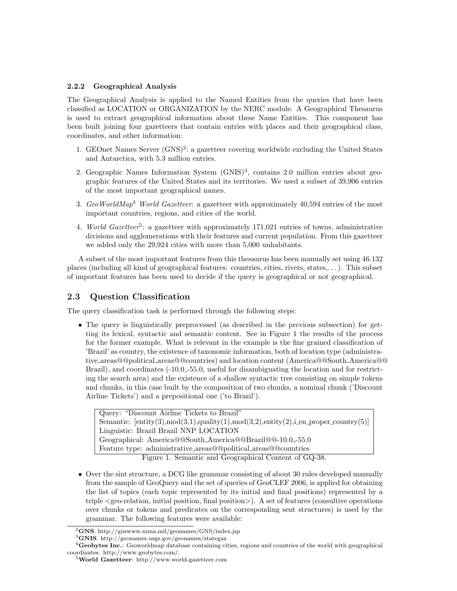#### 2.2.2 Geographical Analysis

The Geographical Analysis is applied to the Named Entities from the queries that have been classified as LOCATION or ORGANIZATION by the NERC module. A Geographical Thesaurus is used to extract geographical information about these Name Entities. This component has been built joining four gazetteers that contain entries with places and their geographical class, coordinates, and other information:

- 1. GEOnet Names Server (GNS)<sup>2</sup>: a gazetteer covering worldwide excluding the United States and Antarctica, with 5.3 million entries.
- 2. Geographic Names Information System (GNIS)<sup>3</sup>, contains 2.0 million entries about geographic features of the United States and its territories. We used a subset of 39,906 entries of the most important geographical names.
- 3. GeoWorldMap<sup>4</sup> World Gazetteer: a gazetteer with approximately  $40,594$  entries of the most important countries, regions, and cities of the world.
- 4. World Gazetteer<sup>5</sup>: a gazetteer with approximately 171,021 entries of towns, administrative divisions and agglomerations with their features and current population. From this gazetteer we added only the 29,924 cities with more than 5,000 unhabitants.

A subset of the most important features from this thesaurus has been manually set using 46.132 places (including all kind of geographical features: countries, cities, rivers, states,. . . ). This subset of important features has been used to decide if the query is geographical or not geographical.

#### 2.3 Question Classification

The query classification task is performed through the following steps:

• The query is linguistically preprocessed (as described in the previous subsection) for getting its lexical, syntactic and semantic content. See in Figure 1 the results of the process for the former example. What is relevant in the example is the fine grained classification of 'Brazil' as country, the existence of taxonomic information, both of location type (administrative areas@@political areas@@countries) and location content (America@@South America@@ Brazil), and coordinates  $(-10.0 - 55.0$ , useful for disambiguating the location and for restricting the search area) and the existence of a shallow syntactic tree consisting on simple tokens and chunks, in this case built by the composition of two chunks, a nominal chunk ('Discount Airline Tickets') and a prepositional one ('to Brazil').

Query: "Discount Airline Tickets to Brazil" Semantic:  $[entity(3), mod(3,1), quality(1), mod(3,2), entity(2), i. en\_proper_country(5)]$ Linguistic: Brazil Brazil NNP LOCATION Geographical: America@@South America@@Brazil@@-10.0 -55.0 Feature type: administrative areas@@political areas@@countries Figure 1. Semantic and Geographical Content of GQ-38.

• Over the sint structure, a DCG like grammar consisting of about 30 rules developed manually from the sample of GeoQuery and the set of queries of GeoCLEF 2006, is applied for obtaining the list of topics (each topic represented by its initial and final positions) represented by a triple <geo-relation, initial position, final position>). A set of features (consultive operations over chunks or tokens and predicates on the corresponding sent structures) is used by the grammar. The following features were available:

 ${}^{2}$ GNS. http://gnswww.nima.mil/geonames/GNS/index.jsp

<sup>3</sup>GNIS. http://geonames.usgs.gov/geonames/stategaz

<sup>&</sup>lt;sup>4</sup>Geobytes Inc.: Geoworldmap database containing cities, regions and countries of the world with geographical coordinates. http://www.geobytes.com/.

 $5$ World Gazetteer: http://www.world-gazetteer.com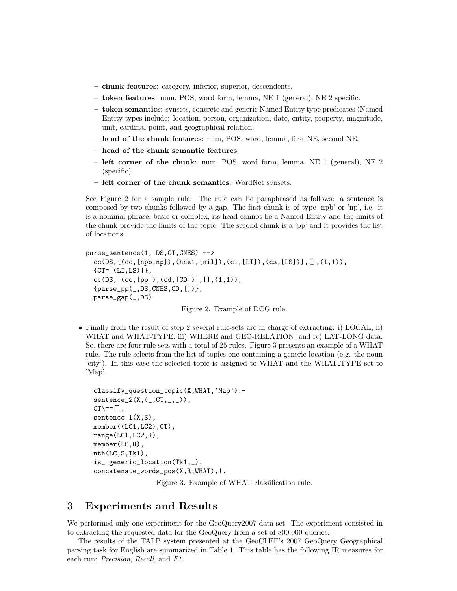- chunk features: category, inferior, superior, descendents.
- token features: num, POS, word form, lemma, NE 1 (general), NE 2 specific.
- token semantics: synsets, concrete and generic Named Entity type predicates (Named Entity types include: location, person, organization, date, entity, property, magnitude, unit, cardinal point, and geographical relation.
- head of the chunk features: num, POS, word, lemma, first NE, second NE.
- head of the chunk semantic features.
- left corner of the chunk: num, POS, word form, lemma, NE 1 (general), NE 2 (specific)
- left corner of the chunk semantics: WordNet synsets.

See Figure 2 for a sample rule. The rule can be paraphrased as follows: a sentence is composed by two chunks followed by a gap. The first chunk is of type 'npb' or 'np', i.e. it is a nominal phrase, basic or complex, its head cannot be a Named Entity and the limits of the chunk provide the limits of the topic. The second chunk is a 'pp' and it provides the list of locations.

```
parse_sentence(1, DS,CT,CNES) -->
  cc(DS,[(cc,[npb,np]),(hne1,[nil]),(ci,[LI]),(cs,[LS])],[],(1,1)),
  {CT=[(LI,LS)]},cc(DS, [ (cc, [pp]), (cd, [CD]) ], [ ], (1,1)),{parse_pp(_,DS,CNES,CD,[])},
  parse_gap(_,DS).
```
Figure 2. Example of DCG rule.

• Finally from the result of step 2 several rule-sets are in charge of extracting: i) LOCAL, ii) WHAT and WHAT-TYPE, iii) WHERE and GEO-RELATION, and iv) LAT-LONG data. So, there are four rule sets with a total of 25 rules. Figure 3 presents an example of a WHAT rule. The rule selects from the list of topics one containing a generic location (e.g. the noun 'city'). In this case the selected topic is assigned to WHAT and the WHAT TYPE set to 'Map'.

```
classify_question_topic(X,WHAT,'Map'):-
sentence_2(X, (_, CT,_,\_)),CT \ = [ ],
sentence<sub>1</sub>(X,S),
member((LC1,LC2),CT),
range(LC1,LC2,R),
member(LC,R),
nth(LC,S,Tk1),
is_ generic_location(Tk1,_),
concatenate_words_pos(X,R,WHAT),!.
```
Figure 3. Example of WHAT classification rule.

#### 3 Experiments and Results

We performed only one experiment for the GeoQuery2007 data set. The experiment consisted in to extracting the requested data for the GeoQuery from a set of 800.000 queries.

The results of the TALP system presented at the GeoCLEF's 2007 GeoQuery Geographical parsing task for English are summarized in Table 1. This table has the following IR measures for each run: Precision, Recall, and F1.